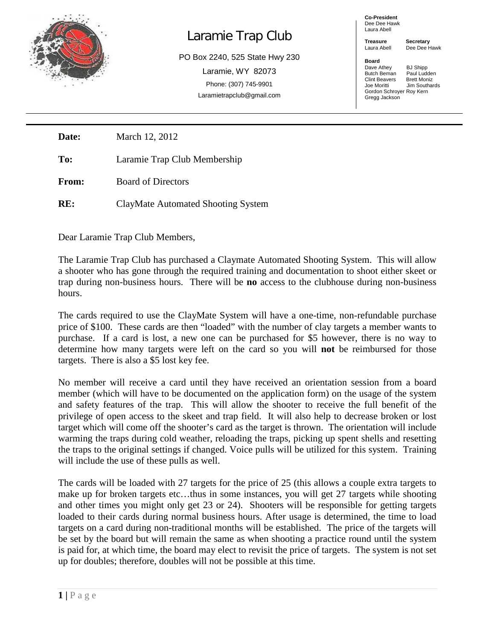

## Laramie Trap Club

PO Box 2240, 525 State Hwy 230 Laramie, WY 82073 Phone: (307) 745-9901 Laramietrapclub@gmail.com

## **Co-President** Dee Dee Hawk Laura Abell

**Treasure Secretary**<br>Laura Abell Dee Dee F

**Board** 

Dee Dee Hawk

Dave Athey BJ Shipp<br>Butch Beman Paul Ludden **Butch Beman** Paul Ludder<br>Clint Beavers Brett Moniz Clint Beavers<br>Joe Moritti **Jim Southards** Gordon Schroyer Roy Kern Gregg Jackson

**Date:** March 12, 2012

**To:** Laramie Trap Club Membership

**From:** Board of Directors

**RE:** ClayMate Automated Shooting System

Dear Laramie Trap Club Members,

The Laramie Trap Club has purchased a Claymate Automated Shooting System. This will allow a shooter who has gone through the required training and documentation to shoot either skeet or trap during non-business hours. There will be **no** access to the clubhouse during non-business hours.

The cards required to use the ClayMate System will have a one-time, non-refundable purchase price of \$100. These cards are then "loaded" with the number of clay targets a member wants to purchase. If a card is lost, a new one can be purchased for \$5 however, there is no way to determine how many targets were left on the card so you will **not** be reimbursed for those targets. There is also a \$5 lost key fee.

No member will receive a card until they have received an orientation session from a board member (which will have to be documented on the application form) on the usage of the system and safety features of the trap. This will allow the shooter to receive the full benefit of the privilege of open access to the skeet and trap field. It will also help to decrease broken or lost target which will come off the shooter's card as the target is thrown. The orientation will include warming the traps during cold weather, reloading the traps, picking up spent shells and resetting the traps to the original settings if changed. Voice pulls will be utilized for this system. Training will include the use of these pulls as well.

The cards will be loaded with 27 targets for the price of 25 (this allows a couple extra targets to make up for broken targets etc…thus in some instances, you will get 27 targets while shooting and other times you might only get 23 or 24). Shooters will be responsible for getting targets loaded to their cards during normal business hours. After usage is determined, the time to load targets on a card during non-traditional months will be established. The price of the targets will be set by the board but will remain the same as when shooting a practice round until the system is paid for, at which time, the board may elect to revisit the price of targets. The system is not set up for doubles; therefore, doubles will not be possible at this time.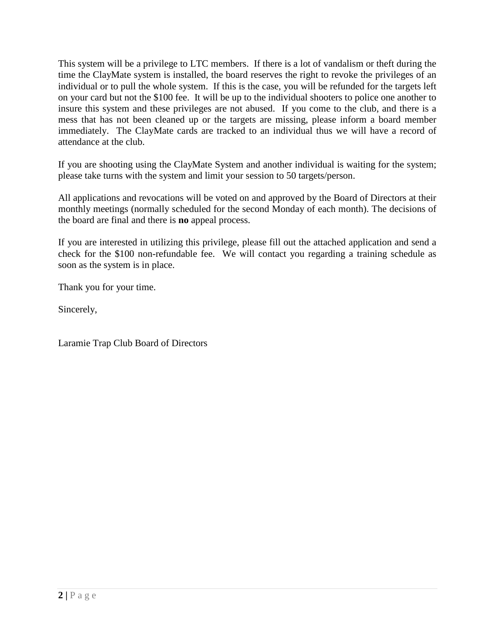This system will be a privilege to LTC members. If there is a lot of vandalism or theft during the time the ClayMate system is installed, the board reserves the right to revoke the privileges of an individual or to pull the whole system. If this is the case, you will be refunded for the targets left on your card but not the \$100 fee. It will be up to the individual shooters to police one another to insure this system and these privileges are not abused. If you come to the club, and there is a mess that has not been cleaned up or the targets are missing, please inform a board member immediately. The ClayMate cards are tracked to an individual thus we will have a record of attendance at the club.

If you are shooting using the ClayMate System and another individual is waiting for the system; please take turns with the system and limit your session to 50 targets/person.

All applications and revocations will be voted on and approved by the Board of Directors at their monthly meetings (normally scheduled for the second Monday of each month). The decisions of the board are final and there is **no** appeal process.

If you are interested in utilizing this privilege, please fill out the attached application and send a check for the \$100 non-refundable fee. We will contact you regarding a training schedule as soon as the system is in place.

Thank you for your time.

Sincerely,

Laramie Trap Club Board of Directors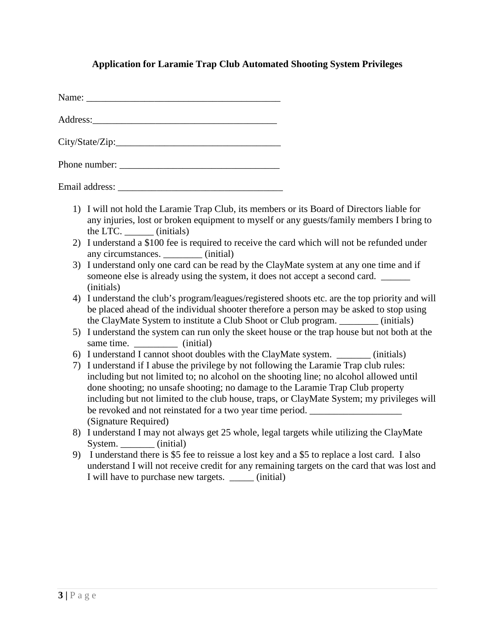## **Application for Laramie Trap Club Automated Shooting System Privileges**

Address:

Phone number: \_\_\_\_\_\_\_\_\_\_\_\_\_\_\_\_\_\_\_\_\_\_\_\_\_\_\_\_\_\_\_\_\_

Email address:

- 1) I will not hold the Laramie Trap Club, its members or its Board of Directors liable for any injuries, lost or broken equipment to myself or any guests/family members I bring to the LTC. \_\_\_\_\_\_ (initials)
- 2) I understand a \$100 fee is required to receive the card which will not be refunded under any circumstances.  $(i\nu)$  (initial)
- 3) I understand only one card can be read by the ClayMate system at any one time and if someone else is already using the system, it does not accept a second card. \_\_\_\_\_\_ (initials)
- 4) I understand the club's program/leagues/registered shoots etc. are the top priority and will be placed ahead of the individual shooter therefore a person may be asked to stop using the ClayMate System to institute a Club Shoot or Club program. \_\_\_\_\_\_\_\_ (initials)
- 5) I understand the system can run only the skeet house or the trap house but not both at the same time. <u>\_\_\_\_\_\_\_\_</u> (initial)
- 6) I understand I cannot shoot doubles with the ClayMate system. \_\_\_\_\_\_\_ (initials)
- 7) I understand if I abuse the privilege by not following the Laramie Trap club rules: including but not limited to; no alcohol on the shooting line; no alcohol allowed until done shooting; no unsafe shooting; no damage to the Laramie Trap Club property including but not limited to the club house, traps, or ClayMate System; my privileges will be revoked and not reinstated for a two year time period. (Signature Required)
- 8) I understand I may not always get 25 whole, legal targets while utilizing the ClayMate System. (initial)
- 9) I understand there is \$5 fee to reissue a lost key and a \$5 to replace a lost card. I also understand I will not receive credit for any remaining targets on the card that was lost and I will have to purchase new targets. (initial)